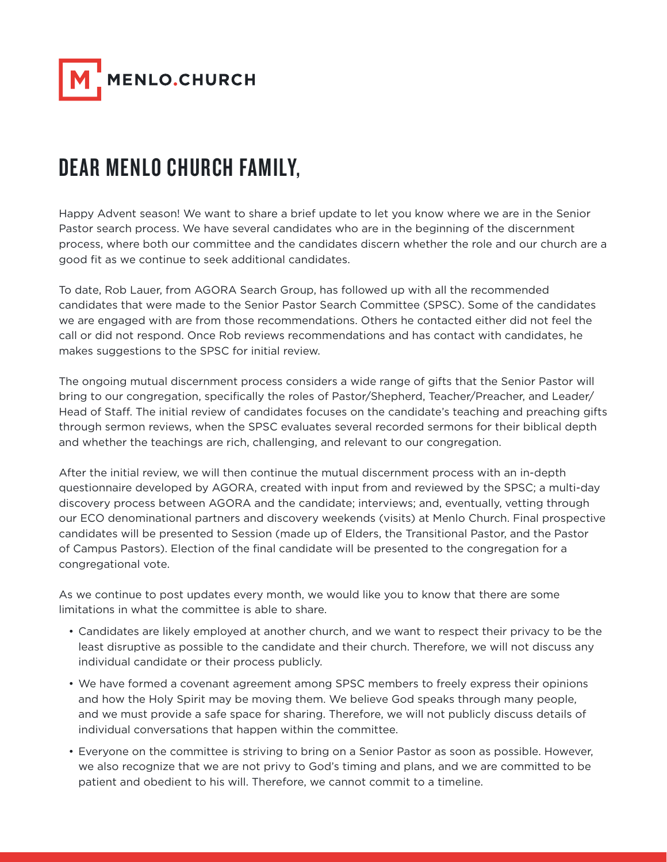

## DEAR MENLO CHURCH FAMILY,

Happy Advent season! We want to share a brief update to let you know where we are in the Senior Pastor search process. We have several candidates who are in the beginning of the discernment process, where both our committee and the candidates discern whether the role and our church are a good fit as we continue to seek additional candidates.

To date, Rob Lauer, from AGORA Search Group, has followed up with all the recommended candidates that were made to the Senior Pastor Search Committee (SPSC). Some of the candidates we are engaged with are from those recommendations. Others he contacted either did not feel the call or did not respond. Once Rob reviews recommendations and has contact with candidates, he makes suggestions to the SPSC for initial review.

The ongoing mutual discernment process considers a wide range of gifts that the Senior Pastor will bring to our congregation, specifically the roles of Pastor/Shepherd, Teacher/Preacher, and Leader/ Head of Staff. The initial review of candidates focuses on the candidate's teaching and preaching gifts through sermon reviews, when the SPSC evaluates several recorded sermons for their biblical depth and whether the teachings are rich, challenging, and relevant to our congregation.

After the initial review, we will then continue the mutual discernment process with an in-depth questionnaire developed by AGORA, created with input from and reviewed by the SPSC; a multi-day discovery process between AGORA and the candidate; interviews; and, eventually, vetting through our ECO denominational partners and discovery weekends (visits) at Menlo Church. Final prospective candidates will be presented to Session (made up of Elders, the Transitional Pastor, and the Pastor of Campus Pastors). Election of the final candidate will be presented to the congregation for a congregational vote.

As we continue to post updates every month, we would like you to know that there are some limitations in what the committee is able to share.

- Candidates are likely employed at another church, and we want to respect their privacy to be the least disruptive as possible to the candidate and their church. Therefore, we will not discuss any individual candidate or their process publicly.
- We have formed a covenant agreement among SPSC members to freely express their opinions and how the Holy Spirit may be moving them. We believe God speaks through many people, and we must provide a safe space for sharing. Therefore, we will not publicly discuss details of individual conversations that happen within the committee.
- Everyone on the committee is striving to bring on a Senior Pastor as soon as possible. However, we also recognize that we are not privy to God's timing and plans, and we are committed to be patient and obedient to his will. Therefore, we cannot commit to a timeline.